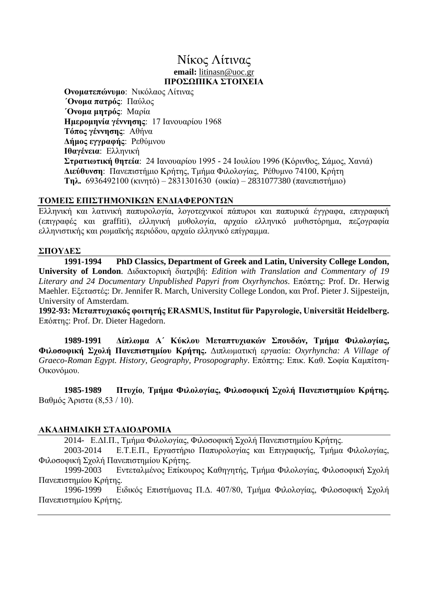## Nίκος Λίτινας **email:** [litinasn@uoc.gr](mailto:litinas@phl.uoc.gr) **ΠΡΟΣΩΠΙΚΑ ΣΤΟΙΧΕΙΑ**

**Ονοματεπώνυμο**: Νικόλαος Λίτινας **΄Ονομα πατρός**: Παύλος **΄Ονομα μητρός**: Μαρία **Ημερομηνία γέννησης**: 17 Ιανουαρίου 1968 **Τόπος γέννησης**: Αθήνα **Δήμος εγγραφής**: Ρεθύμνου **Ιθαγένεια**: Ελληνική **Στρατιωτική θητεία**: 24 Ιανουαρίου 1995 - 24 Ιουλίου 1996 (Κόρινθος, Σάμος, Χανιά) **Διεύθυνση**: Πανεπιστήμιο Κρήτης, Τμήμα Φιλολογίας, Ρέθυμνο 74100, Κρήτη **Τηλ.** 6936492100 (κινητό) – 2831301630 (οικία) – 2831077380 (πανεπιστήμιο)

#### **ΤΟΜΕΙΣ ΕΠΙΣΤΗΜΟΝΙΚΩΝ ΕΝΔΙΑΦΕΡΟΝΤΩΝ**

Ελληνική και λατινική παπυρολογία, λογοτεχνικοί πάπυροι και παπυρικά έγγραφα, επιγραφική (επιγραφές και graffiti), ελληνική μυθολογία, αρχαίο ελληνικό μυθιστόρημα, πεζογραφία ελληνιστικής και ρωμαϊκής περιόδου, αρχαίο ελληνικό επίγραμμα.

#### **ΣΠΟΥΔΕΣ**

**1991-1994 PhD Classics, Department of Greek and Latin, University College London, University of London**. Διδακτορική διατριβή: *Edition with Translation and Commentary of 19 Literary and 24 Documentary Unpublished Papyri from Oxyrhynchos*. Επόπτης: Prof. Dr. Herwig Maehler. Εξεταστές: Dr. Jennifer R. March, University College London, και Prof. Pieter J. Sijpesteijn, University of Amsterdam.

**1992-93: Μεταπτυχιακός φοιτητής ERASMUS, Institut für Papyrologie, Universität Heidelberg.** Επόπτης: Prof. Dr. Dieter Hagedorn.

**1989-1991 Δίπλωμα Α΄ Κύκλου Μεταπτυχιακών Σπουδών, Τμήμα Φιλολογίας, Φιλοσοφική Σχολή Πανεπιστημίου Κρήτης.** Διπλωματική εργασία: *Oxyrhyncha: A Village of Graeco-Roman Egypt. History, Geography, Prosopography*. Επόπτης: Επικ. Καθ. Σοφία Καμπίτση-Οικονόμου.

**1985-1989 Πτυχίο**, **Τμήμα Φιλολογίας, Φιλοσοφική Σχολή Πανεπιστημίου Κρήτης.** Βαθμός Άριστα (8,53 / 10).

## **ΑΚΑΔΗΜΑΙΚΗ ΣΤΑΔΙΟΔΡΟΜΙΑ**

2014- Ε.ΔΙ.Π., Τμήμα Φιλολογίας, Φιλοσοφική Σχολή Πανεπιστημίου Κρήτης.

2003-2014 Ε.Τ.Ε.Π., Εργαστήριο Παπυρολογίας και Επιγραφικής, Τμήμα Φιλολογίας, Φιλοσοφική Σχολή Πανεπιστημίου Κρήτης.

1999-2003 Εντεταλμένος Επίκουρος Καθηγητής, Τμήμα Φιλολογίας, Φιλοσοφική Σχολή Πανεπιστημίου Κρήτης.

1996-1999 Ειδικός Επιστήμονας Π.Δ. 407/80, Τμήμα Φιλολογίας, Φιλοσοφική Σχολή Πανεπιστημίου Κρήτης.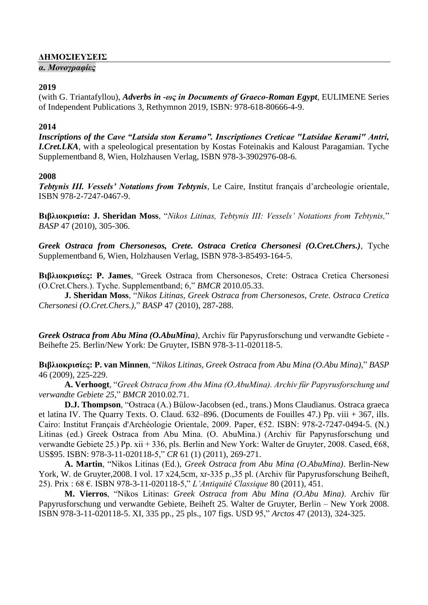## **ΔΗΜΟΣΙΕΥΣΕΙΣ**

#### *α. Μονογραφίες*

#### **2019**

(with G. Triantafyllou), *Adverbs in -ως in Documents of Graeco-Roman Egypt*, EULIMENE Series of Independent Publications 3, Rethymnon 2019, ISBN: 978-618-80666-4-9.

## **2014**

*Inscriptions of the Cave "Latsida ston Keramo". Inscriptiones Creticae "Latsidae Kerami" Antri, I.Cret.LKA*, with a speleological presentation by Kostas Foteinakis and Kaloust Paragamian. Tyche Supplementband 8, Wien, Holzhausen Verlag, ISBN 978-3-3902976-08-6.

#### **2008**

*Tebtynis III. Vessels' Notations from Tebtynis*, Le Caire, Institut français d'archeologie orientale, ISBN 978-2-7247-0467-9.

**Βιβλιοκρισία: J. Sheridan Moss**, "*Nikos Litinas, Tebtynis III: Vessels' Notations from Tebtynis,*" *BASP* 47 (2010), 305-306.

*Greek Ostraca from Chersonesos, Crete. Ostraca Cretica Chersonesi (O.Cret.Chers.)*, Tyche Supplementband 6, Wien, Holzhausen Verlag, ISBN 978-3-85493-164-5.

**Βιβλιοκρισίες: P. James**, "Greek Ostraca from Chersonesos, Crete: Ostraca Cretica Chersonesi (O.Cret.Chers.). Tyche. Supplementband; 6," *BMCR* 2010.05.33.

**J. Sheridan Moss**, "*Nikos Litinas, Greek Ostraca from Chersonesos, Crete. Ostraca Cretica Chersonesi (O.Cret.Chers.),*" *BASP* 47 (2010), 287-288.

*Greek Ostraca from Abu Mina (O.AbuMina)*, Archiv für Papyrusforschung und verwandte Gebiete - Beihefte 25. Berlin/New York: De Gruyter, ISBN 978-3-11-020118-5.

**Βιβλιοκρισίες: P. van Minnen**, "*Nikos Litinas, Greek Ostraca from Abu Mina (O.Abu Mina),*" *BASP* 46 (2009), 225-229.

**A. Verhoogt**, "*Greek Ostraca from Abu Mina (O.AbuMina). Archiv für Papyrusforschung und verwandte Gebiete 25,*" *BMCR* 2010.02.71.

**D.J. Thompson**, "Ostraca (A.) Bülow-Jacobsen (ed., trans.) Mons Claudianus. Ostraca graeca et latina IV. The Quarry Texts. O. Claud. 632–896. (Documents de Fouilles 47.) Pp. viii + 367, ills. Cairo: Institut Français d'Archéologie Orientale, 2009. Paper, €52. ISBN: 978-2-7247-0494-5. (N.) Litinas (ed.) Greek Ostraca from Abu Mina. (O. AbuMina.) (Archiv für Papyrusforschung und verwandte Gebiete 25.) Pp. xii + 336, pls. Berlin and New York: Walter de Gruyter, 2008. Cased, €68, US\$95. ISBN: 978-3-11-020118-5," *CR* 61 (1) (2011), 269-271.

**A. Martin**, "Nikos Litinas (Ed.), *Greek Ostraca from Abu Mina (O.AbuMina)*. Berlin-New York, W. de Gruyter, 2008. I vol. 17 x24,5cm, xr-335 p., 35 pl. (Archiv für Papyrusforschung Beiheft, 25). Prix : 68 €. ISBN 978-3-11-020118-5," *L'Antiquité Classique* 80 (2011), 451.

**M. Vierros**, "Nikos Litinas: *Greek Ostraca from Abu Mina (O.Abu Mina)*. Archiv für Papyrusforschung und verwandte Gebiete, Beiheft 25. Walter de Gruyter, Berlin – New York 2008. ISBN 978-3-11-020118-5. XI, 335 pp., 25 pls., 107 figs. USD 95," *Arctos* 47 (2013), 324-325.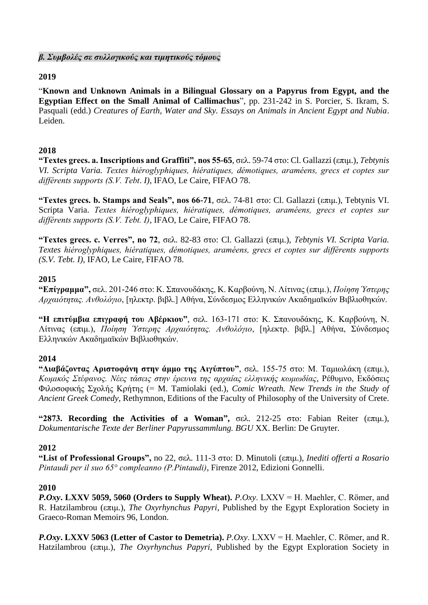*β. Συμβολές σε συλλογικούς και τιμητικούς τόμους*

## **2019**

"**Known and Unknown Animals in a Bilingual Glossary on a Papyrus from Egypt, and the Egyptian Effect on the Small Animal of Callimachus**", pp. 231-242 in S. Porcier, S. Ikram, S. Pasquali (edd.) *Creatures of Earth, Water and Sky. Essays on Animals in Ancient Egypt and Nubia*. Leiden.

## **2018**

**"Textes grecs. a. Inscriptions and Graffiti", nos 55-65**, σελ. 59-74 στο: Cl. Gallazzi (επιμ.), *Τebtynis VI. Scripta Varia. Textes hiéroglyphiques, hiératiques, démotiques, araméens, grecs et coptes sur différents supports (S.V. Tebt*. *I)*, IFAO, Le Caire, FIFAO 78.

**"Textes grecs. b. Stamps and Seals", nos 66-71**, σελ. 74-81 στο: Cl. Gallazzi (επιμ.), Τebtynis VI. Scripta Varia. *Textes hiéroglyphiques, hiératiques, démotiques, araméens, grecs et coptes sur différents supports (S.V. Tebt. I)*, IFAO, Le Caire, FIFAO 78.

**"Textes grecs. c. Verres", no 72**, σελ. 82-83 στο: Cl. Gallazzi (επιμ.), *Τebtynis VI. Scripta Varia. Textes hiéroglyphiques, hiératiques, démotiques, araméens, grecs et coptes sur différents supports (S.V. Tebt. I)*, IFAO, Le Caire, FIFAO 78.

## **2015**

**"Επίγραμμα",** σελ. 201-246 στο: K. Σπανουδάκης, K. Καρβούνη, Ν. Λίτινας (επιμ.), *Ποίηση Ύστερης Αρχαιότητας. Ανθολόγιο*, [ηλεκτρ. βιβλ.] Αθήνα, Σύνδεσμος Ελληνικών Ακαδημαϊκών Βιβλιοθηκών.

**"Η επιτύμβια επιγραφή του Αβέρκιου"**, σελ. 163-171 στο: K. Σπανουδάκης, K. Καρβούνη, Ν. Λίτινας (επιμ.), *Ποίηση Ύστερης Αρχαιότητας. Ανθολόγιο*, [ηλεκτρ. βιβλ.] Αθήνα, Σύνδεσμος Ελληνικών Ακαδημαϊκών Βιβλιοθηκών.

## **2014**

**"Διαβάζοντας Αριστοφάνη στην άμμο της Αιγύπτου"**, σελ. 155-75 στο: Μ. Ταμιωλάκη (επιμ.), *Κωμικός Στέφανος. Νέες τάσεις στην έρευνα της αρχαίας ελληνικής κωμωδίας*, Ρέθυμνο, Εκδόσεις Φιλοσοφικής Σχολής Κρήτης (= M. Tamiolaki (ed.), *Comic Wreath. New Trends in the Study of Ancient Greek Comedy*, Rethymnon, Editions of the Faculty of Philosophy of the University of Crete.

**"2873. Recording the Activities of a Woman",** σελ. 212-25 στο: Fabian Reiter (επιμ.), *Dokumentarische Texte der Berliner Papyrussammlung. BGU* XX. Berlin: De Gruyter.

## **2012**

**"List of Professional Groups",** no 22, σελ. 111-3 στο: D. Minutoli (επιμ.), *Inediti offerti a Rosario Pintaudi per il suo 65° compleanno (P.Pintaudi)*, Firenze 2012, Edizioni Gonnelli.

## **2010**

*P.Oxy***. LXXV 5059, 5060 (Orders to Supply Wheat).** *P.Oxy*. LXXV = H. Maehler, C. Römer, and R. Hatzilambrou (επιμ.), *The Oxyrhynchus Papyri*, Published by the Egypt Exploration Society in Graeco-Roman Memoirs 96, London.

*P.Oxy***. LXXV 5063 (Letter of Castor to Demetria).** *P.Oxy*. LXXV = H. Maehler, C. Römer, and R. Hatzilambrou (επιμ.), *The Oxyrhynchus Papyri*, Published by the Egypt Exploration Society in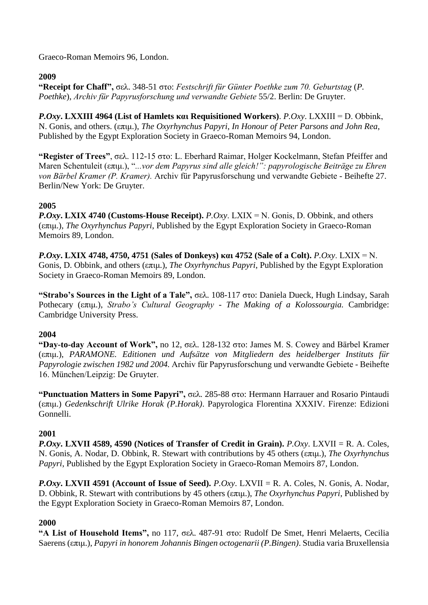Graeco-Roman Memoirs 96, London.

## **2009**

**"Receipt for Chaff",** σελ. 348-51 στο: *Festschrift für Günter Poethke zum 70. Geburtstag* (*P. Poethke*), *Archiv für Papyrusforschung und verwandte Gebiete* 55/2. Berlin: De Gruyter.

*P.Oxy***. LXXIII 4964 (List of Hamlets και Requisitioned Workers)**. *P.Oxy*. LXXΙΙΙ = D. Obbink, N. Gonis, and others. (επιμ.), *The Oxyrhynchus Papyri*, *In Honour of Peter Parsons and John Rea*, Published by the Egypt Exploration Society in Graeco-Roman Memoirs 94, London.

**"Register of Trees"**, σελ. 112-15 στο: L. Eberhard Raimar, Holger Kockelmann, Stefan Pfeiffer and Maren Schentuleit (επιμ.), "*...vor dem Papyrus sind alle gleich!": papyrologische Beiträge zu Ehren von Bärbel Kramer (P. Kramer).* Archiv für Papyrusforschung und verwandte Gebiete - Beihefte 27. Berlin/New York: De Gruyter.

# **2005**

*P.Oxy***. LXIX 4740 (Customs-House Receipt).** *P.Oxy*. LXΙΧ = N. Gonis, D. Obbink, and others (επιμ.), *The Oxyrhynchus Papyri*, Published by the Egypt Exploration Society in Graeco-Roman Memoirs 89, London.

*P.Oxy***. LXIX 4748, 4750, 4751 (Sales of Donkeys) και 4752 (Sale of a Colt).** *P.Oxy*. LXΙΧ = N. Gonis, D. Obbink, and others (επιμ.), *The Oxyrhynchus Papyri*, Published by the Egypt Exploration Society in Graeco-Roman Memoirs 89, London.

**"Strabo's Sources in the Light of a Tale",** σελ. 108-117 στο: Daniela Dueck, Hugh Lindsay, Sarah Pothecary (επιμ.), *Strabo's Cultural Geography - The Making of a Kolossourgia.* Cambridge: Cambridge University Press.

## **2004**

**"Day-to-day Account of Work",** no 12, σελ. 128-132 στο: James M. S. Cowey and Bärbel Kramer (επιμ.), *PARAMONE. Editionen und Aufsätze von Mitgliedern des heidelberger Instituts für Papyrologie zwischen 1982 und 2004.* Archiv für Papyrusforschung und verwandte Gebiete - Beihefte 16. München/Leipzig: De Gruyter.

**"Punctuation Matters in Some Papyri",** σελ. 285-88 στο: Hermann Harrauer and Rosario Pintaudi (επιμ.) *Gedenkschrift Ulrike Horak (P.Horak)*. Papyrologica Florentina XXXIV. Firenze: Edizioni Gonnelli.

# **2001**

*P.Oxy***. LXVII 4589, 4590 (Notices of Transfer of Credit in Grain).** *P.Oxy*. LXVII = R. A. Coles, N. Gonis, A. Nodar, D. Obbink, R. Stewart with contributions by 45 others (επιμ.), *The Oxyrhynchus Papyri*, Published by the Egypt Exploration Society in Graeco-Roman Memoirs 87, London.

*P.Oxy***. LXVII 4591 (Account of Issue of Seed).** *P.Oxy*. LXVII = R. A. Coles, N. Gonis, A. Nodar, D. Obbink, R. Stewart with contributions by 45 others (επιμ.), *The Oxyrhynchus Papyri*, Published by the Egypt Exploration Society in Graeco-Roman Memoirs 87, London.

# **2000**

**"A List of Household Items",** no 117, σελ. 487-91 στο: Rudolf De Smet, Henri Melaerts, Cecilia Saerens (επιμ.), *Papyri in honorem Johannis Bingen octogenarii (P.Bingen)*. Studia varia Bruxellensia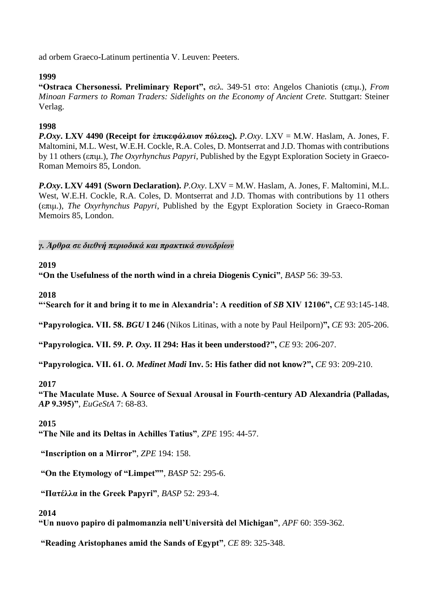ad orbem Graeco-Latinum pertinentia V. Leuven: Peeters.

## **1999**

**"Ostraca Chersonessi. Preliminary Report",** σελ. 349-51 στο: Angelos Chaniotis (επιμ.), *From Minoan Farmers to Roman Traders: Sidelights on the Economy of Ancient Crete.* Stuttgart: Steiner Verlag.

## **1998**

*P.Oxy***. LXV 4490 (Receipt for ἐπικεφάλαιον πόλεως).** *P.Oxy*. LXV = M.W. Haslam, A. Jones, F. Maltomini, M.L. West, W.E.H. Cockle, R.A. Coles, D. Montserrat and J.D. Thomas with contributions by 11 others (επιμ.), *The Oxyrhynchus Papyri*, Published by the Egypt Exploration Society in Graeco-Roman Memoirs 85, London.

*P.Oxy***. LXV 4491 (Sworn Declaration).** *P.Oxy*. LXV = M.W. Haslam, A. Jones, F. Maltomini, M.L. West, W.E.H. Cockle, R.A. Coles, D. Montserrat and J.D. Thomas with contributions by 11 others (επιμ.), *The Oxyrhynchus Papyri*, Published by the Egypt Exploration Society in Graeco-Roman Memoirs 85, London.

*γ. Άρθρα σε διεθνή περιοδικά και πρακτικά συνεδρίων*

## **2019**

**"On the Usefulness of the north wind in a chreia Diogenis Cynici"**, *BASP* 56: 39-53.

## **2018**

"Search for it and bring it to me in Alexandria': A reedition of *SB* XIV 12106", *CE* 93:145-148.

**"Papyrologica. VII. 58.** *BGU* **I 246** (Nikos Litinas, with a note by Paul Heilporn)**",** *CE* 93: 205-206.

**"Papyrologica. VII. 59.** *P. Oxy.* **II 294: Has it been understood?",** *CE* 93: 206-207.

**"Papyrologica. VII. 61.** *O. Medinet Madi* **Inv. 5: His father did not know?",** *CE* 93: 209-210.

## **2017**

**"The Maculate Muse. A Source of Sexual Arousal in Fourth-century AD Alexandria (Palladas,**  *AP* **9.395)"**, *EuGeStA* 7: 68-83.

## **2015**

**"The Nile and its Deltas in Achilles Tatius"**, *ZPE* 195: 44-57.

**"Inscription on a Mirror"**, *ZPE* 194: 158.

**"On the Etymology of "Limpet""**, *BASP* 52: 295-6.

**"Πατέλλα in the Greek Papyri"**, *BASP* 52: 293-4.

## **2014**

**"Un nuovo papiro di palmomanzia nell'Università del Michigan"**, *APF* 60: 359-362.

**"Reading Aristophanes amid the Sands of Egypt"**, *CE* 89: 325-348.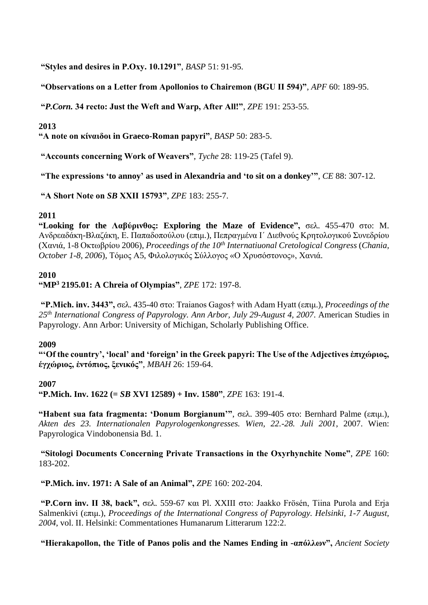**"Styles and desires in P.Oxy. 10.1291"**, *BASP* 51: 91-95.

**"Observations on a Letter from Apollonios to Chairemon (BGU II 594)"**, *APF* 60: 189-95.

**"***P.Corn.* **34 recto: Just the Weft and Warp, After All!"**, *ZPE* 191: 253-55.

#### **2013**

**"A note on κίναιδοι in Graeco-Roman papyri"**, *BASP* 50: 283-5.

**"Accounts concerning Work of Weavers"**, *Tyche* 28: 119-25 (Tafel 9).

**"The expressions 'to annoy' as used in Alexandria and 'to sit on a donkey'"**, *CE* 88: 307-12.

**"A Short Note on** *SB* **XXII 15793"**, *ZPE* 183: 255-7.

## **2011**

**"Looking for the Λαβύρινθος: Exploring the Maze of Evidence",** σελ. 455-470 στο: M. Ανδρεαδάκη-Βλαζάκη, Ε. Παπαδοπούλου (επιμ.), Πεπραγμένα Ι΄ Διεθνούς Κρητολογικού Συνεδρίου (Χανιά, 1-8 Οκτωβρίου 2006), *Proceedings of the 10th Internatiuonal Cretological Congress* (*Chania, October 1-8, 2006*), Τόμος Α5, Φιλολογικός Σύλλογος «Ο Χρυσόστονος», Χανιά.

#### **2010**

#### **"MP<sup>3</sup> 2195.01: A Chreia of Olympias"**, *ZPE* 172: 197-8.

**"P.Mich. inv. 3443",** σελ. 435-40 στο: Traianos Gagos† with Adam Hyatt (επιμ.), *Proceedings of the 25th International Congress of Papyrology. Ann Arbor, July 29-August 4, 2007*. American Studies in Papyrology. Ann Arbor: University of Michigan, Scholarly Publishing Office.

#### **2009**

**"'Of the country', 'local' and 'foreign' in the Greek papyri: The Use of the Adjectives ἐπιχώριος, έγχώριος, ἐντόπιος, ξενικός"**, *MBAH* 26: 159-64.

#### **2007**

**"P.Mich. Inv. 1622 (=** *SB* **XVI 12589) + Inv. 1580"**, *ZPE* 163: 191-4.

**"Habent sua fata fragmenta: 'Donum Borgianum'"**, σελ. 399-405 στο: Bernhard Palme (επιμ.), *Akten des 23. Internationalen Papyrologenkongresses. Wien, 22.-28. Juli 2001*, 2007. Wien: Papyrologica Vindobonensia Bd. 1.

**"Sitologi Documents Concerning Private Transactions in the Oxyrhynchite Nome"**, *ZPE* 160: 183-202.

**"P.Mich. inv. 1971: A Sale of an Animal",** *ZPE* 160: 202-204.

**"P.Corn inv. II 38, back",** σελ. 559-67 και Pl. XXIII στο: Jaakko Frösén, Tiina Purola and Erja Salmenkivi (επιμ.), *Proceedings of the International Congress of Papyrology. Helsinki, 1-7 August, 2004*, vol. II. Helsinki: Commentationes Humanarum Litterarum 122:2.

**"Hierakapollon, the Title of Panos polis and the Names Ending in -απόλλων",** *Ancient Society*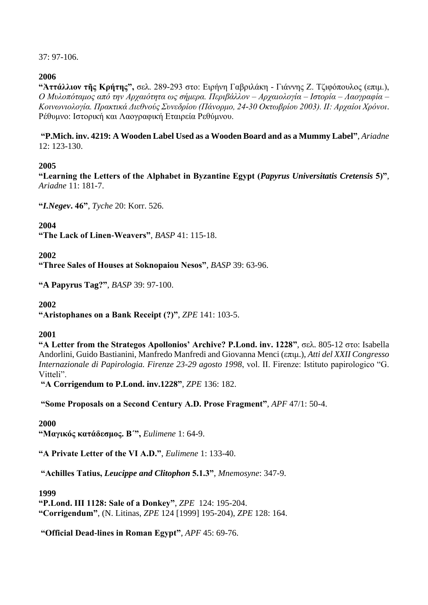37: 97-106.

## **2006**

**"Ἀττάλλιον τῆς Κρήτης",** σελ. 289-293 στο: Ειρήνη Γαβριλάκη - Γιάννης Ζ. Τζιφόπουλος (επιμ.), *Ο Μυλοπόταμος από την Αρχαιότητα ως σήμερα. Περιβάλλον – Αρχαιολογία – Ιστορία – Λαογραφία – Κοινωνιολογία. Πρακτικά Διεθνούς Συνεδρίου (Πάνορμο, 24-30 Οκτωβρίου 2003). ΙΙ: Αρχαίοι Χρόνοι*. Ρέθυμνο: Ιστορική και Λαογραφική Εταιρεία Ρεθύμνου.

**"P.Mich. inv. 4219: A Wooden Label Used as a Wooden Board and as a Mummy Label"**, *Ariadne* 12: 123-130.

## **2005**

**"Learning the Letters of the Alphabet in Byzantine Egypt (***Papyrus Universitatis Cretensis* **5)"**, *Ariadne* 11: 181-7.

**"***I.Negev***. 46"**, *Tyche* 20: Korr. 526.

**2004**

**"The Lack of Linen-Weavers"**, *BASP* 41: 115-18.

**2002**

**"Three Sales of Houses at Soknopaiou Nesos"**, *BASP* 39: 63-96.

**"A Papyrus Tag?"**, *BASP* 39: 97-100.

## **2002**

**"Aristophanes on a Bank Receipt (?)"**, *ZPE* 141: 103-5.

## **2001**

**"A Letter from the Strategos Apollonios' Archive? P.Lond. inv. 1228"**, σελ. 805-12 στο: Isabella Andorlini, Guido Bastianini, Manfredo Manfredi and Giovanna Menci (επιμ.), *Atti del XXII Congresso Internazionale di Papirologia. Firenze 23-29 agosto 1998*, vol. II. Firenze: Istituto papirologico "G. Vitteli".

**"Α Corrigendum to P.Lond. inv.1228"**, *ZPE* 136: 182.

**"Some Proposals on a Second Century A.D. Prose Fragment"**, *APF* 47/1: 50-4.

## **2000**

**"Μαγικός κατάδεσμος. Β´",** *Eulimene* 1: 64-9.

**"A Private Letter of the VI A.D."**, *Eulimene* 1: 133-40.

**"Achilles Tatius,** *Leucippe and Clitophon* **5.1.3"**, *Mnemosyne*: 347-9.

## **1999**

**"P.Lond. III 1128: Sale of a Donkey"**, *ZPE* 124: 195-204. **"Corrigendum"**, (N. Litinas, *ZPE* 124 [1999] 195-204), *ZPE* 128: 164.

**"Official Dead-lines in Roman Egypt"**, *APF* 45: 69-76.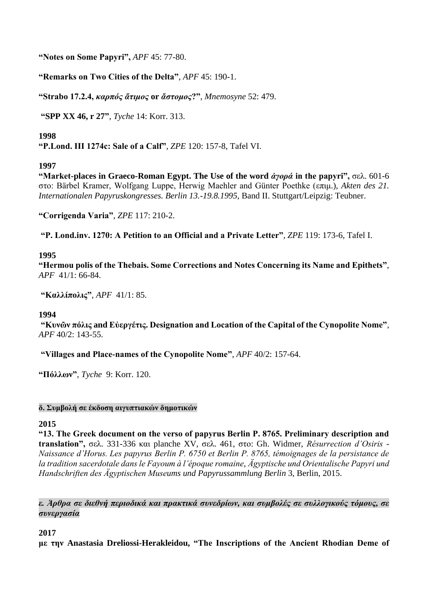**"Notes on Some Papyri",** *APF* 45: 77-80.

**"Remarks on Two Cities of the Delta"**, *APF* 45: 190-1.

**"Strabo 17.2.4,** *καρπός ἄτιμος* **or** *ἄστομος***?"**, *Mnemosyne* 52: 479.

**"SPP XX 46, r 27"**, *Tyche* 14: Korr. 313.

## **1998**

**"P.Lond. III 1274c: Sale of a Calf"**, *ZPE* 120: 157-8, Tafel VI.

## **1997**

**"Market-places in Graeco-Roman Egypt. The Use of the word** *ἀγορά* **in the papyri",** σελ. 601-6 στο: Bärbel Kramer, Wolfgang Luppe, Herwig Maehler and Günter Poethke (επιμ.), *Akten des 21. Internationalen Papyruskongresses. Berlin 13.-19.8.1995*, Band II. Stuttgart/Leipzig: Teubner.

**"Corrigenda Varia"**, *ZPE* 117: 210-2.

**"P. Lond.inv. 1270: A Petition to an Official and a Private Letter"**, *ZPE* 119: 173-6, Tafel I.

## **1995**

**"Hermou polis of the Thebais. Some Corrections and Notes Concerning its Name and Epithets"**, *APF* 41/1: 66-84.

**"Καλλίπολις"**, *APF* 41/1: 85.

## **1994**

**"Κυνῶν πόλις and Εὐεργέτις. Designation and Location of the Capital of the Cynopolite Nome"**, *APF* 40/2: 143-55.

**"Villages and Place-names of the Cynopolite Nome"**, *APF* 40/2: 157-64.

**"Πόλλων"**, *Tyche* 9: Korr. 120.

## **δ. Συμβολή σε έκδοση αιγυπτιακών δημοτικών**

## **2015**

**"13. The Greek document on the verso of papyrus Berlin P. 8765. Preliminary description and translation",** σελ. 331-336 και planche XV, σελ. 461, στο: Gh. Widmer, *Résurrection d'Osiris - Naissance d'Horus. Les papyrus Berlin P. 6750 et Berlin P. 8765, témoignages de la persistance de la tradition sacerdotale dans le Fayoum à l'époque romaine*, *Ägyptische und Orientalische Papyri und Handschriften des Ägyptischen Museums und Papyrussammlung Berlin* 3, Berlin, 2015.

## *ε. Άρθρα σε διεθνή περιοδικά και πρακτικά συνεδρίων, και συμβολές σε συλλογικούς τόμους, σε συνεργασία*

## **2017**

**με την Anastasia Dreliossi-Herakleidou, "The Inscriptions of the Ancient Rhodian Deme of**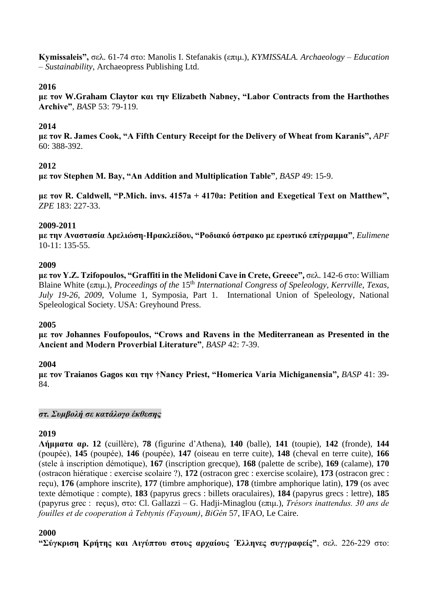**Kymissaleis",** σελ. 61-74 στο: Manolis I. Stefanakis (επιμ.), *KYMISSALA. Archaeology – Education – Sustainability*, Archaeopress Publishing Ltd.

## **2016**

**με τον W.Graham Claytor και την Elizabeth Nabney, "Labor Contracts from the Harthothes Archive"**, *BAS*P 53: 79-119.

## **2014**

**με τον R. James Cook, "A Fifth Century Receipt for the Delivery of Wheat from Karanis",** *APF* 60: 388-392.

## **2012**

**με τον Stephen M. Bay, "An Addition and Multiplication Table"**, *BASP* 49: 15-9.

**με τον R. Caldwell, "P.Mich. invs. 4157a + 4170a: Petition and Exegetical Text on Matthew",** *ZPE* 183: 227-33.

## **2009-2011**

**με την Αναστασία Δρελιώση-Ηρακλείδου, "Ροδιακό όστρακο με ερωτικό επίγραμμα"**, *Eulimene* 10-11: 135-55.

## **2009**

**με τον Y.Z. Tzifopoulos, "Graffiti in the Melidoni Cave in Crete, Greece",** σελ. 142-6 στο: William Blaine White (επιμ.), *Proceedings of the* 15th *International Congress of Speleology, Kerrville, Texas, July 19-26, 2009*, Volume 1, Symposia, Part 1. International Union of Speleology, National Speleological Society. USA: Greyhound Press.

## **2005**

**με τον Johannes Foufopoulos, "Crows and Ravens in the Mediterranean as Presented in the Ancient and Modern Proverbial Literature"**, *BASP* 42: 7-39.

## **2004**

**με τον Traianos Gagos και την †Nancy Priest, "Homerica Varia Michiganensia",** *BASP* 41: 39- 84.

*στ. Συμβολή σε κατάλογο έκθεσης*

## **2019**

**Λήμματα αρ. 12** (cuillère), **78** (figurine d'Athena), **140** (balle), **141** (toupie), **142** (fronde), **144** (poupée), **145** (poupée), **146** (poupée), **147** (oiseau en terre cuite), **148** (cheval en terre cuite), **166** (stele à inscription démotique), **167** (inscription grecque), **168** (palette de scribe), **169** (calame), **170**  (ostracon hiératique : exercise scolaire ?), **172** (ostracon grec : exercise scolaire), **173** (ostracon grec : reçu), **176** (amphore inscrite), **177** (timbre amphorique), **178** (timbre amphorique latin), **179** (os avec texte démotique : compte), **183** (papyrus grecs : billets oraculaires), **184** (papyrus grecs : lettre), **185** (papyrus grec : reçus), στο: Cl. Gallazzi – G. Hadji-Minaglou (επιμ.), *Trésors inattendus. 30 ans de fouilles et de cooperation à Tebtynis (Fayoum)*, *BiGén* 57, IFAO, Le Caire.

## **2000**

**"Σύγκριση Κρήτης και Αιγύπτου στους αρχαίους ´Ελληνες συγγραφείς"**, σελ. 226-229 στο: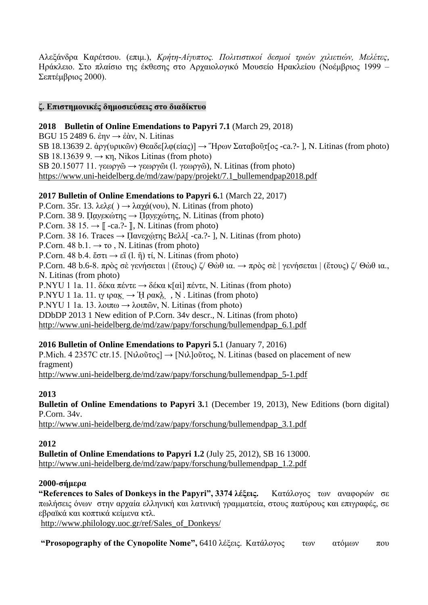Αλεξάνδρα Καρέτσου. (επιμ.), *Κρήτη-Αίγυπτος. Πολιτιστικοί δεσμοί τριών χιλιετιών, Μελέτες*, Ηράκλειο. Στο πλαίσιο της έκθεσης στο Αρχαιολογικό Μουσείο Ηρακλείου (Νοέμβριος 1999 – Σεπτέμβριος 2000).

#### **ζ. Επιστημονικές δημοσιεύσεις στο διαδίκτυο**

**2018 Bulletin of Online Emendations to Papyri 7.1** (March 29, 2018)

BGU 15 2489 6. ἐην  $\rightarrow$  ἐὰν, Ν. Litinas SB 18.13639 2. άργ(υρικῶν) Θεαδε[λφ(είας)]  $\rightarrow$  Ήρων Σαταβοῦτ[ος -ca.?-], N. Litinas (from photo) SB 18.13639 9.  $\rightarrow$  κη, Nikos Litinas (from photo) SB 20.15077 11. γεωργῶ  $\rightarrow$  γεωργῶι (l. γεωργῶ), N. Litinas (from photo) https://www.uni-heidelberg.de/md/zaw/papy/projekt/7.1\_bullemendpap2018.pdf

## **2017 Bulletin of Online Emendations to Papyri 6.**1 (March 22, 2017)

P.Corn. 35r. 13. λελε $(\cdot) \rightarrow \lambda \alpha \chi \dot{\alpha}(\nu \circ \nu)$ , N. Litinas (from photo) P.Corn. 38 9. Πανεκώτης  $\rightarrow$  Πανεχώτης, N. Litinas (from photo) P.Corn. 38 15.  $\rightarrow$   $\mathbb{L}$  -ca.?-  $\mathbb{L}$ , N. Litinas (from photo) P.Corn. 38 16. Traces  $\rightarrow \Pi$ ανεγώτης Βελλ[ -ca.?- ], N. Litinas (from photo) P.Corn. 48 b.1.  $\rightarrow \infty$ , N. Litinas (from photo) P.Corn. 48 b.4. ἔστι  $\rightarrow$  εἶ (l. ἢ) τί, N. Litinas (from photo) P.Corn. 48 b.6-8. πρὸς σὲ γενήσεται | (ἔτους) ζ/ Θὼθ ια. → πρὸς σὲ | γενήσεται | (ἔτους) ζ/ Θὼθ ια., N. Litinas (from photo) P.NYU 1 1a. 11. δέκα πέντε  $\rightarrow$  δέκα κ[αὶ] πέντε, N. Litinas (from photo) P.NYU 1 1a. 11. ιγ ιρακ $\lambda$ ,  $\rightarrow$  Ή ρακλ,  $\lambda$ ,  $\lambda$ . Litinas (from photo) P.NYU 1 1a. 13. λοιπω  $\rightarrow \lambda$ οιπῶν, N. Litinas (from photo) DDbDP 2013 1 New edition of P.Corn. 34v descr., N. Litinas (from photo) [http://www.uni-heidelberg.de/md/zaw/papy/forschung/bullemendpap\\_6.1.pdf](http://www.uni-heidelberg.de/md/zaw/papy/forschung/bullemendpap_6.1.pdf)

## **2016 Bulletin of Online Emendations to Papyri 5.**1 (January 7, 2016)

P.Mich. 4 2357C ctr.15. [Νιλοῦτος]  $\rightarrow$  [Νιλ]οῦτος, N. Litinas (based on placement of new fragment) [http://www.uni-heidelberg.de/md/zaw/papy/forschung/bullemendpap\\_5-1.pdf](http://www.uni-heidelberg.de/md/zaw/papy/forschung/bullemendpap_5-1.pdf)

## **2013**

**Bulletin of Online Emendations to Papyri 3.**1 (December 19, 2013), New Editions (born digital) P.Corn. 34v.

[http://www.uni-heidelberg.de/md/zaw/papy/forschung/bullemendpap\\_3.1.pdf](http://www.uni-heidelberg.de/md/zaw/papy/forschung/bullemendpap_3.1.pdf)

## **2012**

**Bulletin of Online Emendations to Papyri 1.2** (July 25, 2012), SB 16 13000. [http://www.uni-heidelberg.de/md/zaw/papy/forschung/bullemendpap\\_1.2.pdf](http://www.uni-heidelberg.de/md/zaw/papy/forschung/bullemendpap_1.2.pdf)

## **2000-σήμερα**

**"References to Sales of Donkeys in the Papyri", 3374 λέξεις.** Κατάλογος των αναφορών σε πωλήσεις όνων στην αρχαία ελληνική και λατινική γραμματεία, στους παπύρους και επιγραφές, σε εβραϊκά και κοπτικά κείμενα κτλ.

[http://www.philology.uoc.gr/ref/Sales\\_of\\_Donkeys/](http://www.philology.uoc.gr/ref/Sales_of_Donkeys/)

**"Prosopography of the Cynopolite Nome",** 6410 λέξεις. Κατάλογος των ατόμων που